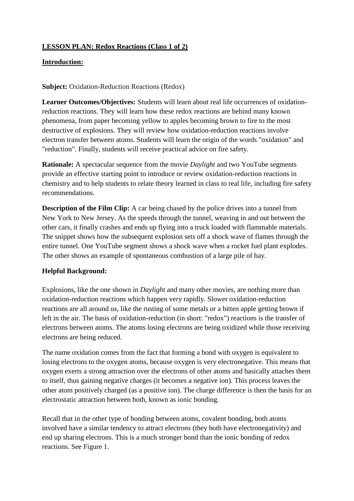# **LESSON PLAN: Redox Reactions (Class 1 of 2)**

### **Introduction:**

### **Subject:** Oxidation-Reduction Reactions (Redox)

**Learner Outcomes/Objectives:** Students will learn about real life occurrences of oxidationreduction reactions. They will learn how these redox reactions are behind many known phenomena, from paper becoming yellow to apples becoming brown to fire to the most destructive of explosions. They will review how oxidation-reduction reactions involve electron transfer between atoms. Students will learn the origin of the words "oxidation" and "reduction". Finally, students will receive practical advice on fire safety.

**Rationale:** A spectacular sequence from the movie *Daylight* and two YouTube segments provide an effective starting point to introduce or review oxidation-reduction reactions in chemistry and to help students to relate theory learned in class to real life, including fire safety recommendations.

**Description of the Film Clip:** A car being chased by the police drives into a tunnel from New York to New Jersey. As the speeds through the tunnel, weaving in and out between the other cars, it finally crashes and ends up flying into a truck loaded with flammable materials. The snippet shows how the subsequent explosion sets off a shock wave of flames through the entire tunnel. One YouTube segment shows a shock wave when a rocket fuel plant explodes. The other shows an example of spontaneous combustion of a large pile of hay.

# **Helpful Background:**

Explosions, like the one shown in *Daylight* and many other movies, are nothing more than oxidation-reduction reactions which happen very rapidly. Slower oxidation-reduction reactions are all around us, like the rusting of some metals or a bitten apple getting brown if left in the air. The basis of oxidation-reduction (in short: "redox") reactions is the transfer of electrons between atoms. The atoms losing electrons are being oxidized while those receiving electrons are being reduced.

The name oxidation comes from the fact that forming a bond with oxygen is equivalent to losing electrons to the oxygen atoms, because oxygen is very electronegative. This means that oxygen exerts a strong attraction over the electrons of other atoms and basically attaches them to itself, thus gaining negative charges (it becomes a negative ion). This process leaves the other atom positively charged (as a positive ion). The charge difference is then the basis for an electrostatic attraction between both, known as ionic bonding.

Recall that in the other type of bonding between atoms, covalent bonding, both atoms involved have a similar tendency to attract electrons (they both have electronegativity) and end up sharing electrons. This is a much stronger bond than the ionic bonding of redox reactions. See Figure 1.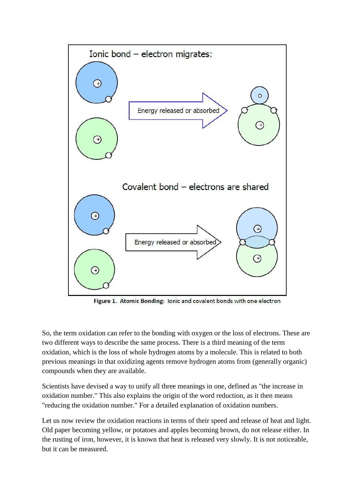

Figure 1. Atomic Bonding: lonic and covalent bonds with one electron

So, the term oxidation can refer to the bonding with oxygen or the loss of electrons. These are two different ways to describe the same process. There is a third meaning of the term oxidation, which is the loss of whole hydrogen atoms by a molecule. This is related to both previous meanings in that oxidizing agents remove hydrogen atoms from (generally organic) compounds when they are available.

Scientists have devised a way to unify all three meanings in one, defined as "the increase in oxidation number." This also explains the origin of the word reduction, as it then means "reducing the oxidation number." For a detailed explanation of oxidation numbers.

Let us now review the oxidation reactions in terms of their speed and release of heat and light. Old paper becoming yellow, or potatoes and apples becoming brown, do not release either. In the rusting of iron, however, it is known that heat is released very slowly. It is not noticeable, but it can be measured.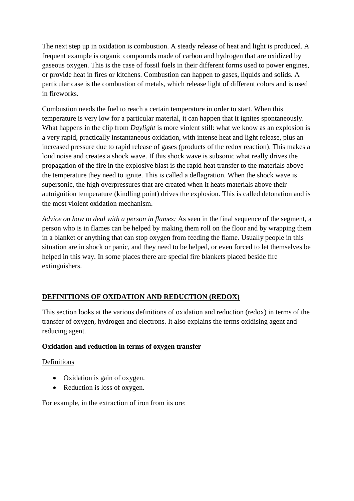The next step up in oxidation is combustion. A steady release of heat and light is produced. A frequent example is organic compounds made of carbon and hydrogen that are oxidized by gaseous oxygen. This is the case of fossil fuels in their different forms used to power engines, or provide heat in fires or kitchens. Combustion can happen to gases, liquids and solids. A particular case is the combustion of metals, which release light of different colors and is used in fireworks.

Combustion needs the fuel to reach a certain temperature in order to start. When this temperature is very low for a particular material, it can happen that it ignites spontaneously. What happens in the clip from *Daylight* is more violent still: what we know as an explosion is a very rapid, practically instantaneous oxidation, with intense heat and light release, plus an increased pressure due to rapid release of gases (products of the redox reaction). This makes a loud noise and creates a shock wave. If this shock wave is subsonic what really drives the propagation of the fire in the explosive blast is the rapid heat transfer to the materials above the temperature they need to ignite. This is called a deflagration. When the shock wave is supersonic, the high overpressures that are created when it heats materials above their autoignition temperature (kindling point) drives the explosion. This is called detonation and is the most violent oxidation mechanism.

*Advice on how to deal with a person in flames:* As seen in the final sequence of the segment, a person who is in flames can be helped by making them roll on the floor and by wrapping them in a blanket or anything that can stop oxygen from feeding the flame. Usually people in this situation are in shock or panic, and they need to be helped, or even forced to let themselves be helped in this way. In some places there are special fire blankets placed beside fire extinguishers.

# **DEFINITIONS OF OXIDATION AND REDUCTION (REDOX)**

This section looks at the various definitions of oxidation and reduction (redox) in terms of the transfer of oxygen, hydrogen and electrons. It also explains the terms oxidising agent and reducing agent.

# **Oxidation and reduction in terms of oxygen transfer**

# Definitions

- Oxidation is gain of oxygen.
- Reduction is loss of oxygen.

For example, in the extraction of iron from its ore: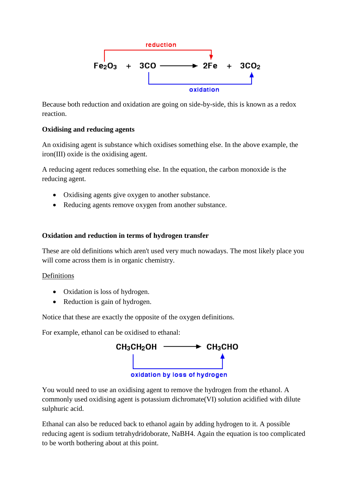

Because both reduction and oxidation are going on side-by-side, this is known as a redox reaction.

### **Oxidising and reducing agents**

An oxidising agent is substance which oxidises something else. In the above example, the iron(III) oxide is the oxidising agent.

A reducing agent reduces something else. In the equation, the carbon monoxide is the reducing agent.

- Oxidising agents give oxygen to another substance.
- Reducing agents remove oxygen from another substance.

### **Oxidation and reduction in terms of hydrogen transfer**

These are old definitions which aren't used very much nowadays. The most likely place you will come across them is in organic chemistry.

### Definitions

- Oxidation is loss of hydrogen.
- Reduction is gain of hydrogen.

Notice that these are exactly the opposite of the oxygen definitions.

For example, ethanol can be oxidised to ethanal:



You would need to use an oxidising agent to remove the hydrogen from the ethanol. A commonly used oxidising agent is potassium dichromate(VI) solution acidified with dilute sulphuric acid.

Ethanal can also be reduced back to ethanol again by adding hydrogen to it. A possible reducing agent is sodium tetrahydridoborate, NaBH4. Again the equation is too complicated to be worth bothering about at this point.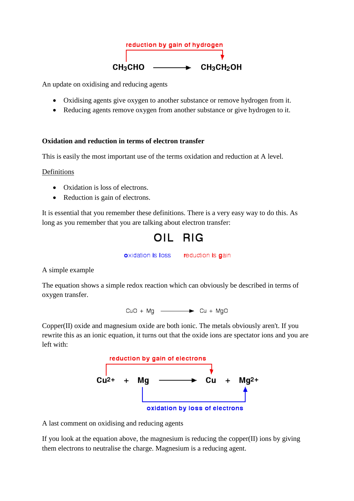

An update on oxidising and reducing agents

- Oxidising agents give oxygen to another substance or remove hydrogen from it.
- Reducing agents remove oxygen from another substance or give hydrogen to it.

#### **Oxidation and reduction in terms of electron transfer**

This is easily the most important use of the terms oxidation and reduction at A level.

#### Definitions

- Oxidation is loss of electrons.
- Reduction is gain of electrons.

It is essential that you remember these definitions. There is a very easy way to do this. As long as you remember that you are talking about electron transfer:

OIL RIG

oxidation is loss reduction is gain

A simple example

The equation shows a simple redox reaction which can obviously be described in terms of oxygen transfer.

 $CuO + Mg$   $\longrightarrow$   $Cu + MgO$ 

Copper(II) oxide and magnesium oxide are both ionic. The metals obviously aren't. If you rewrite this as an ionic equation, it turns out that the oxide ions are spectator ions and you are left with:



A last comment on oxidising and reducing agents

If you look at the equation above, the magnesium is reducing the copper(II) ions by giving them electrons to neutralise the charge. Magnesium is a reducing agent.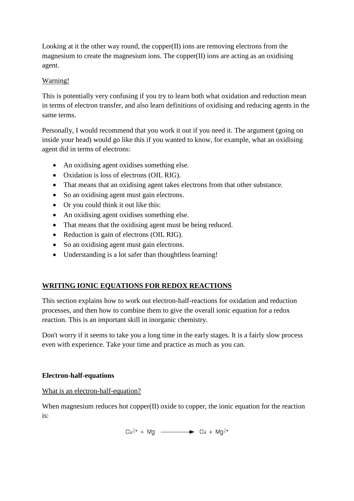Looking at it the other way round, the copper(II) ions are removing electrons from the magnesium to create the magnesium ions. The copper(II) ions are acting as an oxidising agent.

### Warning!

This is potentially very confusing if you try to learn both what oxidation and reduction mean in terms of electron transfer, and also learn definitions of oxidising and reducing agents in the same terms.

Personally, I would recommend that you work it out if you need it. The argument (going on inside your head) would go like this if you wanted to know, for example, what an oxidising agent did in terms of electrons:

- An oxidising agent oxidises something else.
- Oxidation is loss of electrons (OIL RIG).
- That means that an oxidising agent takes electrons from that other substance.
- So an oxidising agent must gain electrons.
- Or you could think it out like this:
- An oxidising agent oxidises something else.
- That means that the oxidising agent must be being reduced.
- Reduction is gain of electrons (OIL RIG).
- So an oxidising agent must gain electrons.
- Understanding is a lot safer than thoughtless learning!

# **WRITING IONIC EQUATIONS FOR REDOX REACTIONS**

This section explains how to work out electron-half-reactions for oxidation and reduction processes, and then how to combine them to give the overall ionic equation for a redox reaction. This is an important skill in inorganic chemistry.

Don't worry if it seems to take you a long time in the early stages. It is a fairly slow process even with experience. Take your time and practice as much as you can.

# **Electron-half-equations**

What is an electron-half-equation?

When magnesium reduces hot copper(II) oxide to copper, the ionic equation for the reaction is:

 $Cu^{2+} + Mg$   $--- \rightarrow Cu + Mg^{2+}$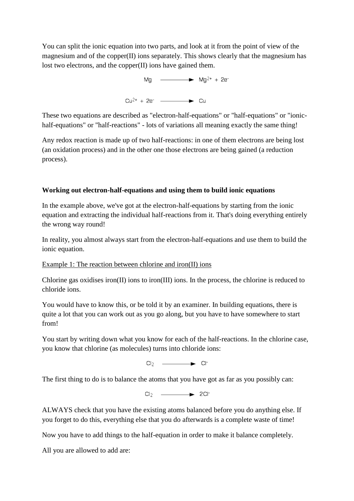You can split the ionic equation into two parts, and look at it from the point of view of the magnesium and of the copper(II) ions separately. This shows clearly that the magnesium has lost two electrons, and the copper(II) ions have gained them.

$$
Mg \longrightarrow Mg^{2+} + 2e^{-}
$$
  
\n
$$
Cu^{2+} + 2e^{-} \longrightarrow Cu
$$

These two equations are described as "electron-half-equations" or "half-equations" or "ionichalf-equations" or "half-reactions" - lots of variations all meaning exactly the same thing!

Any redox reaction is made up of two half-reactions: in one of them electrons are being lost (an oxidation process) and in the other one those electrons are being gained (a reduction process).

### **Working out electron-half-equations and using them to build ionic equations**

In the example above, we've got at the electron-half-equations by starting from the ionic equation and extracting the individual half-reactions from it. That's doing everything entirely the wrong way round!

In reality, you almost always start from the electron-half-equations and use them to build the ionic equation.

### Example 1: The reaction between chlorine and iron(II) ions

Chlorine gas oxidises iron(II) ions to iron(III) ions. In the process, the chlorine is reduced to chloride ions.

You would have to know this, or be told it by an examiner. In building equations, there is quite a lot that you can work out as you go along, but you have to have somewhere to start from!

You start by writing down what you know for each of the half-reactions. In the chlorine case, you know that chlorine (as molecules) turns into chloride ions:

 $Cl_2$   $\longrightarrow$   $Cl^2$ 

The first thing to do is to balance the atoms that you have got as far as you possibly can:

 $Cl_2$   $\longrightarrow$  2Cl-

ALWAYS check that you have the existing atoms balanced before you do anything else. If you forget to do this, everything else that you do afterwards is a complete waste of time!

Now you have to add things to the half-equation in order to make it balance completely.

All you are allowed to add are: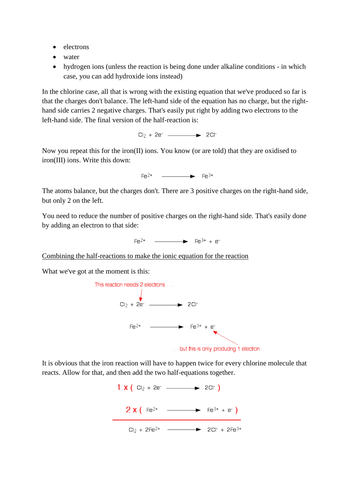- electrons
- water
- hydrogen ions (unless the reaction is being done under alkaline conditions in which case, you can add hydroxide ions instead)

In the chlorine case, all that is wrong with the existing equation that we've produced so far is that the charges don't balance. The left-hand side of the equation has no charge, but the righthand side carries 2 negative charges. That's easily put right by adding two electrons to the left-hand side. The final version of the half-reaction is:

 $Cl_2 + 2e^-$  2Cl-

Now you repeat this for the iron(II) ions. You know (or are told) that they are oxidised to iron(III) ions. Write this down:

 $F \cdot a^{2+}$   $F \cdot a^{3+}$ 

The atoms balance, but the charges don't. There are 3 positive charges on the right-hand side, but only 2 on the left.

You need to reduce the number of positive charges on the right-hand side. That's easily done by adding an electron to that side:

Combining the half-reactions to make the ionic equation for the reaction

What we've got at the moment is this:



It is obvious that the iron reaction will have to happen twice for every chlorine molecule that reacts. Allow for that, and then add the two half-equations together.

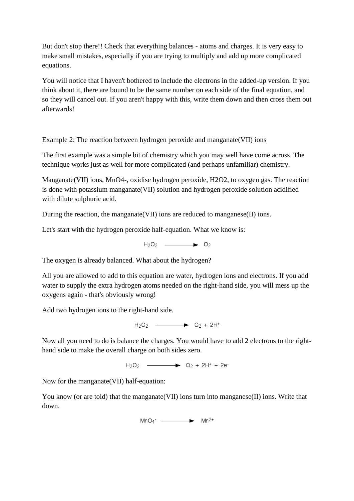But don't stop there!! Check that everything balances - atoms and charges. It is very easy to make small mistakes, especially if you are trying to multiply and add up more complicated equations.

You will notice that I haven't bothered to include the electrons in the added-up version. If you think about it, there are bound to be the same number on each side of the final equation, and so they will cancel out. If you aren't happy with this, write them down and then cross them out afterwards!

### Example 2: The reaction between hydrogen peroxide and manganate(VII) ions

The first example was a simple bit of chemistry which you may well have come across. The technique works just as well for more complicated (and perhaps unfamiliar) chemistry.

Manganate(VII) ions, MnO4-, oxidise hydrogen peroxide, H2O2, to oxygen gas. The reaction is done with potassium manganate(VII) solution and hydrogen peroxide solution acidified with dilute sulphuric acid.

During the reaction, the manganate(VII) ions are reduced to manganese(II) ions.

Let's start with the hydrogen peroxide half-equation. What we know is:

 $H_2O_2$   $\longrightarrow$  02

The oxygen is already balanced. What about the hydrogen?

All you are allowed to add to this equation are water, hydrogen ions and electrons. If you add water to supply the extra hydrogen atoms needed on the right-hand side, you will mess up the oxygens again - that's obviously wrong!

Add two hydrogen ions to the right-hand side.

 $H_2O_2$   $\longrightarrow$   $O_2 + 2H^+$ 

Now all you need to do is balance the charges. You would have to add 2 electrons to the righthand side to make the overall charge on both sides zero.

 $H_2O_2$   $\longrightarrow$   $\bullet$   $O_2 + 2H^+ + 2e^-$ 

Now for the manganate(VII) half-equation:

You know (or are told) that the manganate (VII) ions turn into manganese (II) ions. Write that down.

 $MnO4^ \longrightarrow$   $Mn^{2+}$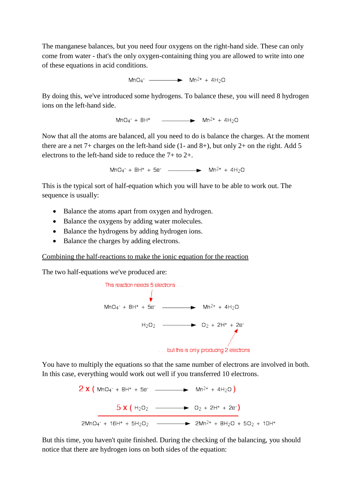The manganese balances, but you need four oxygens on the right-hand side. These can only come from water - that's the only oxygen-containing thing you are allowed to write into one of these equations in acid conditions.

 $MnO4^{-}$   $\longrightarrow$   $Mn^{2+} + 4H_2O$ 

By doing this, we've introduced some hydrogens. To balance these, you will need 8 hydrogen ions on the left-hand side.

 $MnO4^{+} + 8H^{+}$   $\longrightarrow$   $Mn^{2+} + 4H_{2}O$ 

Now that all the atoms are balanced, all you need to do is balance the charges. At the moment there are a net  $7+$  charges on the left-hand side (1- and  $8+$ ), but only  $2+$  on the right. Add 5 electrons to the left-hand side to reduce the 7+ to 2+.

This is the typical sort of half-equation which you will have to be able to work out. The sequence is usually:

- Balance the atoms apart from oxygen and hydrogen.
- Balance the oxygens by adding water molecules.
- Balance the hydrogens by adding hydrogen ions.
- Balance the charges by adding electrons.

#### Combining the half-reactions to make the ionic equation for the reaction

The two half-equations we've produced are:



You have to multiply the equations so that the same number of electrons are involved in both. In this case, everything would work out well if you transferred 10 electrons.

$$
2 \times (\text{MnO4}^{\circ} + \text{BH}^{\circ} + \text{Be}^{\circ} \longrightarrow \text{Mn}^{2+} + 4\text{H}_{2}\text{O})
$$
  

$$
5 \times (\text{H}_{2}\text{O}_{2} \longrightarrow \text{O}_{2} + 2\text{H}^{\circ} + 2\text{e}^{\circ})
$$
  

$$
2\text{MnO4}^{\circ} + 16\text{H}^{\circ} + 5\text{H}_{2}\text{O}_{2} \longrightarrow 2\text{Mn}^{2+} + 8\text{H}_{2}\text{O} + 5\text{O}_{2} + 10\text{H}^{\circ}
$$

But this time, you haven't quite finished. During the checking of the balancing, you should notice that there are hydrogen ions on both sides of the equation: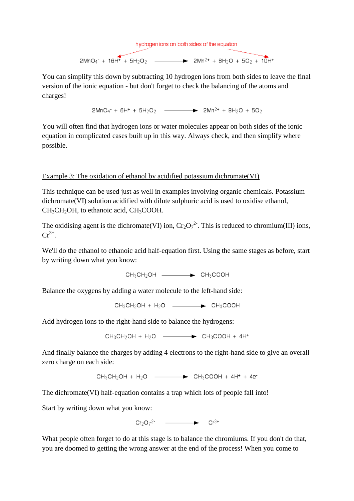

You can simplify this down by subtracting 10 hydrogen ions from both sides to leave the final version of the ionic equation - but don't forget to check the balancing of the atoms and charges!

 $2MnO_4$ <sup>-</sup> + 6H<sup>+</sup> + 5H<sub>2</sub>O<sub>2</sub> -  $\longrightarrow$  2Mn<sup>2+</sup> + 8H<sub>2</sub>O + 5O<sub>2</sub>

You will often find that hydrogen ions or water molecules appear on both sides of the ionic equation in complicated cases built up in this way. Always check, and then simplify where possible.

### Example 3: The oxidation of ethanol by acidified potassium dichromate(VI)

This technique can be used just as well in examples involving organic chemicals. Potassium dichromate(VI) solution acidified with dilute sulphuric acid is used to oxidise ethanol,  $CH<sub>3</sub>CH<sub>2</sub>OH$ , to ethanoic acid,  $CH<sub>3</sub>COOH$ .

The oxidising agent is the dichromate(VI) ion,  $Cr_2O_7^{2}$ . This is reduced to chromium(III) ions,  $Cr^{3+}$ .

We'll do the ethanol to ethanoic acid half-equation first. Using the same stages as before, start by writing down what you know:

CH3CH2OH - EH3COOH

Balance the oxygens by adding a water molecule to the left-hand side:

 $CH_3CH_2OH + H_2O$  \_\_\_\_\_\_\_\_\_\_\_\_\_\_\_\_\_CH<sub>3</sub>COOH

Add hydrogen ions to the right-hand side to balance the hydrogens:

 $CH_3CH_2OH + H_2O$   $\longrightarrow$   $CH_3COOH + 4H^+$ 

And finally balance the charges by adding 4 electrons to the right-hand side to give an overall zero charge on each side:

 $CH_3CH_2OH + H_2O$   $\longrightarrow$   $\rightarrow$   $CH_3COOH + 4H^+ + 4e^-$ 

The dichromate(VI) half-equation contains a trap which lots of people fall into!

Start by writing down what you know:

What people often forget to do at this stage is to balance the chromiums. If you don't do that, you are doomed to getting the wrong answer at the end of the process! When you come to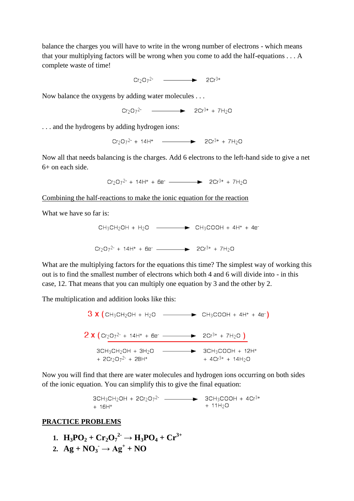balance the charges you will have to write in the wrong number of electrons - which means that your multiplying factors will be wrong when you come to add the half-equations . . . A complete waste of time!

 $Cr_2O_7^2$  - 2Cr<sup>3+</sup>

Now balance the oxygens by adding water molecules . . .

 $Cr_2O_7^2$  - 2Cr<sup>3+</sup> + 7H<sub>2</sub>O

. . . and the hydrogens by adding hydrogen ions:

 $Cr_2O_7^{2-}$  + 14H<sup>+</sup>  $\longrightarrow$   $2Cr^{3+}$  + 7H<sub>2</sub>O

Now all that needs balancing is the charges. Add 6 electrons to the left-hand side to give a net 6+ on each side.

Combining the half-reactions to make the ionic equation for the reaction

What we have so far is:

CH<sub>3</sub>CH<sub>2</sub>OH + H<sub>2</sub>O \n
$$
\longrightarrow
$$
 CH<sub>3</sub>COOH + 4H<sup>+</sup> + 4e<sup>-</sup>  
\n $Cr_2O_7^2$  + 14H<sup>+</sup> + 6e<sup>-</sup> \n $\longrightarrow$  2Cr<sup>3+</sup> + 7H<sub>2</sub>O

What are the multiplying factors for the equations this time? The simplest way of working this out is to find the smallest number of electrons which both 4 and 6 will divide into - in this case, 12. That means that you can multiply one equation by 3 and the other by 2.

The multiplication and addition looks like this:

 $3 \times (CH_3CH_2OH + H_2O \longrightarrow \rightarrow CH_3COOH + 4H^+ + 4e^{-})$ **2 X**  $\left(\frac{Cr_2O_7^{2+} + 14H^+ + 6e^+}{2Cr^{3+} + 7H_2O}\right)$  $3CH_3CH_2OH + 3H_2O$  -  $\longrightarrow$   $3CH_3COOH + 12H^+$ +  $2Cr_2O_7^2$  +  $28H^+$  $+4Cr^{3+}+14H_2O$ 

Now you will find that there are water molecules and hydrogen ions occurring on both sides of the ionic equation. You can simplify this to give the final equation:

$$
3CH_3CH_2OH + 2Cr_2O_7^2
$$
\n
$$
+ 16H^+ + 16H^+
$$
\n
$$
+ 11H_2O
$$

#### **PRACTICE PROBLEMS**

1. 
$$
H_3PO_2 + Cr_2O_7^2 \rightarrow H_3PO_4 + Cr^{3+}
$$

**2.**  $Ag + NO_3 \rightarrow Ag^+ + NO$